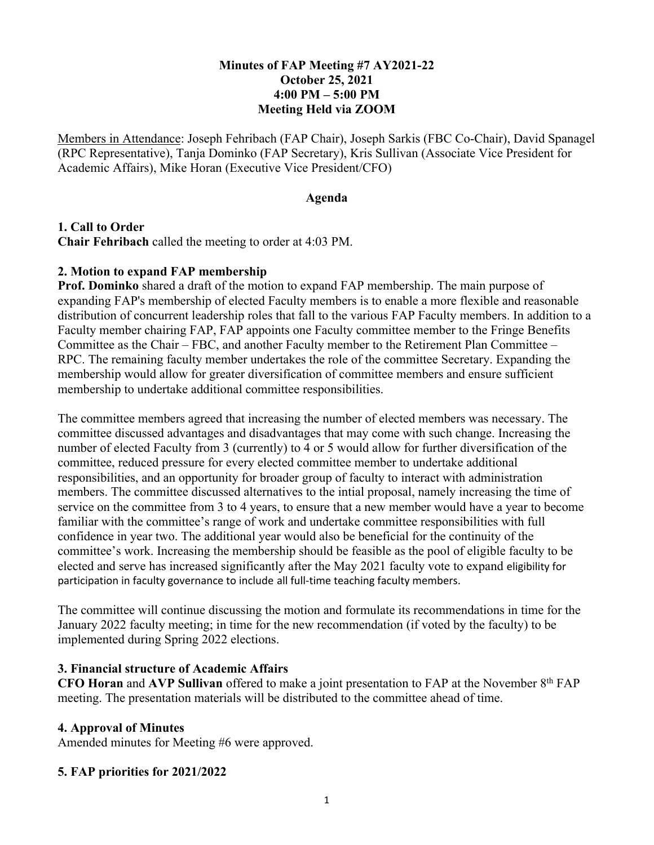# **Minutes of FAP Meeting #7 AY2021-22 October 25, 2021 4:00 PM – 5:00 PM Meeting Held via ZOOM**

Members in Attendance: Joseph Fehribach (FAP Chair), Joseph Sarkis (FBC Co-Chair), David Spanagel (RPC Representative), Tanja Dominko (FAP Secretary), Kris Sullivan (Associate Vice President for Academic Affairs), Mike Horan (Executive Vice President/CFO)

#### **Agenda**

## **1. Call to Order**

**Chair Fehribach** called the meeting to order at 4:03 PM.

## **2. Motion to expand FAP membership**

**Prof. Dominko** shared a draft of the motion to expand FAP membership. The main purpose of expanding FAP's membership of elected Faculty members is to enable a more flexible and reasonable distribution of concurrent leadership roles that fall to the various FAP Faculty members. In addition to a Faculty member chairing FAP, FAP appoints one Faculty committee member to the Fringe Benefits Committee as the Chair – FBC, and another Faculty member to the Retirement Plan Committee – RPC. The remaining faculty member undertakes the role of the committee Secretary. Expanding the membership would allow for greater diversification of committee members and ensure sufficient membership to undertake additional committee responsibilities.

The committee members agreed that increasing the number of elected members was necessary. The committee discussed advantages and disadvantages that may come with such change. Increasing the number of elected Faculty from 3 (currently) to 4 or 5 would allow for further diversification of the committee, reduced pressure for every elected committee member to undertake additional responsibilities, and an opportunity for broader group of faculty to interact with administration members. The committee discussed alternatives to the intial proposal, namely increasing the time of service on the committee from 3 to 4 years, to ensure that a new member would have a year to become familiar with the committee's range of work and undertake committee responsibilities with full confidence in year two. The additional year would also be beneficial for the continuity of the committee's work. Increasing the membership should be feasible as the pool of eligible faculty to be elected and serve has increased significantly after the May 2021 faculty vote to expand eligibility for participation in faculty governance to include all full-time teaching faculty members.

The committee will continue discussing the motion and formulate its recommendations in time for the January 2022 faculty meeting; in time for the new recommendation (if voted by the faculty) to be implemented during Spring 2022 elections.

## **3. Financial structure of Academic Affairs**

**CFO Horan** and **AVP Sullivan** offered to make a joint presentation to FAP at the November 8th FAP meeting. The presentation materials will be distributed to the committee ahead of time.

#### **4. Approval of Minutes**

Amended minutes for Meeting #6 were approved.

# **5. FAP priorities for 2021/2022**